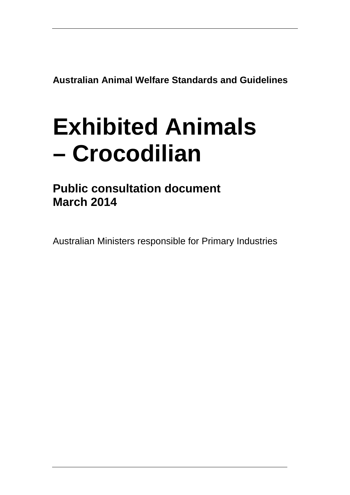**Australian Animal Welfare Standards and Guidelines**

# **Exhibited Animals – Crocodilian**

**Public consultation document March 2014**

Australian Ministers responsible for Primary Industries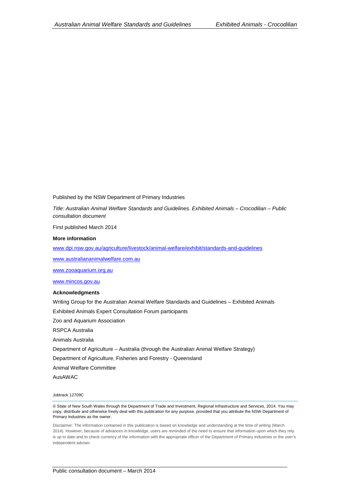Published by the NSW Department of Primary Industries

*Title: Australian Animal Welfare Standards and Guidelines. Exhibited Animals – Crocodilian – Public consultation document*

First published March 2014

#### **More information**

[www.dpi.nsw.gov.au/agriculture/livestock/animal-welfare/exhibit/standards-and-guidelines](http://www.dpi.nsw.gov.au/agriculture/livestock/animal-welfare/exhibit/standards-and-guidelines) 

[www.australiananimalwelfare.com.au](http://www.australiananimalwelfare.com.au/)

[www.zooaquarium.org.au](http://www.zooaquarium.org.au/)

[www.mincos.gov.au](http://www.mincos.gov.au/)

#### **Acknowledgments**

Writing Group for the Australian Animal Welfare Standards and Guidelines – Exhibited Animals

Exhibited Animals Expert Consultation Forum participants

Zoo and Aquarium Association

RSPCA Australia

Animals Australia

Department of Agriculture – Australia (through the Australian Animal Welfare Strategy)

Department of Agriculture, Fisheries and Forestry - Queensland

Animal Welfare Committee

AusAWAC

Jobtrack 12709C

© State of New South Wales through the Department of Trade and Investment, Regional Infrastructure and Services, 2014. You may copy, distribute and otherwise freely deal with this publication for any purpose, provided that you attribute the NSW Department of Primary Industries as the owner.

Disclaimer: The information contained in this publication is based on knowledge and understanding at the time of writing (March 2014). However, because of advances in knowledge, users are reminded of the need to ensure that information upon which they rely is up to date and to check currency of the information with the appropriate officer of the Department of Primary Industries or the user's independent adviser.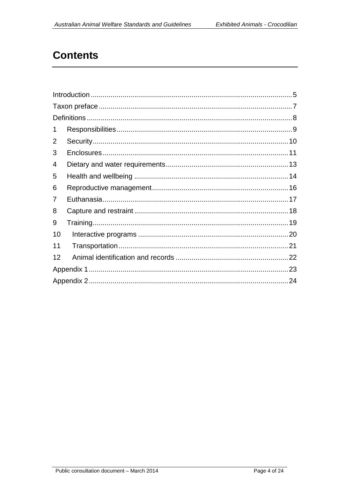# **Contents**

| 1  |  |  |  |  |
|----|--|--|--|--|
| 2  |  |  |  |  |
| 3  |  |  |  |  |
| 4  |  |  |  |  |
| 5  |  |  |  |  |
| 6  |  |  |  |  |
| 7  |  |  |  |  |
| 8  |  |  |  |  |
| 9  |  |  |  |  |
| 10 |  |  |  |  |
| 11 |  |  |  |  |
| 12 |  |  |  |  |
|    |  |  |  |  |
|    |  |  |  |  |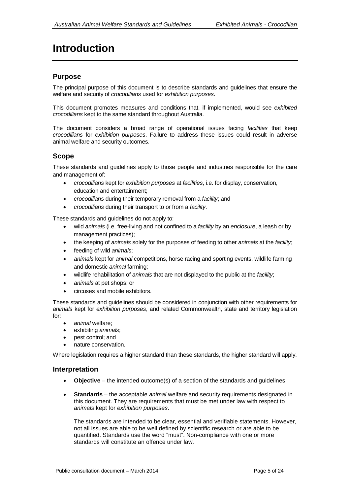# <span id="page-4-0"></span>**Introduction**

#### **Purpose**

The principal purpose of this document is to describe standards and guidelines that ensure the welfare and security of *crocodilians* used for *exhibition purposes*.

This document promotes measures and conditions that, if implemented, would see *exhibited crocodilians* kept to the same standard throughout Australia.

The document considers a broad range of operational issues facing *facilities* that keep *crocodilians* for *exhibition purposes*. Failure to address these issues could result in adverse animal welfare and security outcomes.

#### **Scope**

These standards and guidelines apply to those people and industries responsible for the care and management of:

- *crocodilians* kept for *exhibition purposes* at *facilities*, i.e. for display, conservation, education and entertainment;
- *crocodilians* during their temporary removal from a *facility*; and
- *crocodilians* during their transport to or from a *facility*.

These standards and guidelines do not apply to:

- wild *animals* (i.e. free-living and not confined to a *facility* by an *enclosure*, a leash or by management practices);
- the keeping of *animals* solely for the purposes of feeding to other *animals* at the *facility*;
- feeding of wild *animal*s;
- *animals* kept for *animal* competitions, horse racing and sporting events, wildlife farming and domestic *animal* farming;
- wildlife rehabilitation of *animals* that are not displayed to the public at the *facility*;
- *animals* at pet shops; or
- circuses and mobile exhibitors.

These standards and guidelines should be considered in conjunction with other requirements for *animals* kept for *exhibition purposes*, and related Commonwealth, state and territory legislation for:

- *animal* welfare;
- exhibiting *animals*;
- pest control; and
- nature conservation.

Where legislation requires a higher standard than these standards, the higher standard will apply.

#### **Interpretation**

- **Objective** the intended outcome(s) of a section of the standards and guidelines.
- **Standards** the acceptable *animal* welfare and security requirements designated in this document. They are requirements that must be met under law with respect to *animals* kept for *exhibition purposes*.

The standards are intended to be clear, essential and verifiable statements. However, not all issues are able to be well defined by scientific research or are able to be quantified. Standards use the word "must". Non-compliance with one or more standards will constitute an offence under law.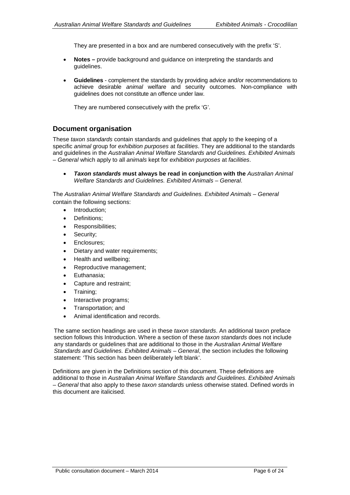They are presented in a box and are numbered consecutively with the prefix 'S'.

- **Notes –** provide background and guidance on interpreting the standards and guidelines.
- **Guidelines** complement the standards by providing advice and/or recommendations to achieve desirable *animal* welfare and security outcomes. Non-compliance with guidelines does not constitute an offence under law.

They are numbered consecutively with the prefix 'G'.

#### **Document organisation**

These *taxon standards* contain standards and guidelines that apply to the keeping of a specific *animal* group for *exhibition purposes* at *facilities*. They are additional to the standards and guidelines in the *Australian Animal Welfare Standards and Guidelines. Exhibited Animals – General* which apply to all *animals* kept for *exhibition purposes* at *facilities*.

• *Taxon standards* **must always be read in conjunction with the** *Australian Animal Welfare Standards and Guidelines. Exhibited Animals – General*.

The *Australian Animal Welfare Standards and Guidelines. Exhibited Animals – General* contain the following sections:

- Introduction;
- Definitions;
- Responsibilities;
- Security;
- Enclosures:
- Dietary and water requirements;
- Health and wellbeing;
- Reproductive management;
- Euthanasia;
- Capture and restraint;
- Training;
- Interactive programs;
- Transportation; and
- Animal identification and records.

The same section headings are used in these *taxon standards*. An additional taxon preface section follows this Introduction. Where a section of these *taxon standards* does not include any standards or guidelines that are additional to those in the *Australian Animal Welfare Standards and Guidelines. Exhibited Animals – General*, the section includes the following statement: 'This section has been deliberately left blank'.

Definitions are given in the Definitions section of this document. These definitions are additional to those in *Australian Animal Welfare Standards and Guidelines. Exhibited Animals – General* that also apply to these *taxon standards* unless otherwise stated. Defined words in this document are italicised.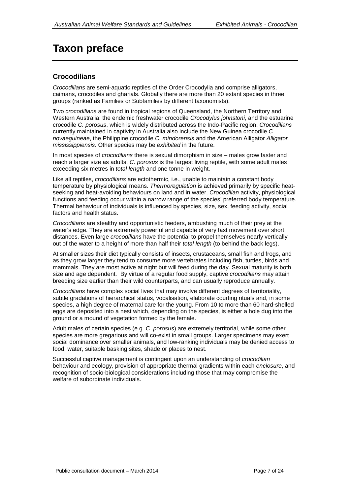# <span id="page-6-0"></span>**Taxon preface**

### **Crocodilians**

*Crocodilians* are semi-aquatic reptiles of the Order Crocodylia and comprise alligators, caimans, crocodiles and gharials. Globally there are more than 20 extant species in three groups (ranked as Families or Subfamilies by different taxonomists).

Two *crocodilians* are found in tropical regions of Queensland, the Northern Territory and Western Australia: the endemic freshwater crocodile *Crocodylus johnstoni*, and the estuarine crocodile *C. porosus*, which is widely distributed across the Indo-Pacific region. *Crocodilians* currently maintained in captivity in Australia also include the New Guinea crocodile *C. novaeguineae*, the Philippine crocodile *C. mindorensis* and the American Alligator *Alligator mississippiensis*. Other species may be *exhibited* in the future.

In most species of *crocodilians* there is sexual dimorphism in size – males grow faster and reach a larger size as adults. *C. porosus* is the largest living reptile, with some adult males exceeding six metres in *total length* and one tonne in weight.

Like all reptiles, *crocodilians* are ectothermic, i.e., unable to maintain a constant body temperature by physiological means. *Thermoregulation* is achieved primarily by specific heatseeking and heat-avoiding behaviours on land and in water. *Crocodilian* activity, physiological functions and feeding occur within a narrow range of the species' preferred body temperature. Thermal behaviour of individuals is influenced by species, size, sex, feeding activity, social factors and health status.

*Crocodilians* are stealthy and opportunistic feeders, ambushing much of their prey at the water's edge. They are extremely powerful and capable of very fast movement over short distances. Even large *crocodilians* have the potential to propel themselves nearly vertically out of the water to a height of more than half their *total length* (to behind the back legs).

At smaller sizes their diet typically consists of insects, crustaceans, small fish and frogs, and as they grow larger they tend to consume more vertebrates including fish, turtles, birds and mammals. They are most active at night but will feed during the day. Sexual maturity is both size and age dependent. By virtue of a regular food supply, captive *crocodilians* may attain breeding size earlier than their wild counterparts, and can usually reproduce annually.

*Crocodilians* have complex social lives that may involve different degrees of territoriality, subtle gradations of hierarchical status, vocalisation, elaborate courting rituals and, in some species, a high degree of maternal care for the young. From 10 to more than 60 hard-shelled eggs are deposited into a nest which, depending on the species, is either a hole dug into the ground or a mound of vegetation formed by the female.

Adult males of certain species (e.g. *C. porosus*) are extremely territorial, while some other species are more gregarious and will co-exist in small groups. Larger specimens may exert social dominance over smaller animals, and low-ranking individuals may be denied access to food, water, suitable basking sites, shade or places to nest.

Successful captive management is contingent upon an understanding of *crocodilian* behaviour and ecology, provision of appropriate thermal gradients within each *enclosure*, and recognition of socio-biological considerations including those that may compromise the welfare of subordinate individuals.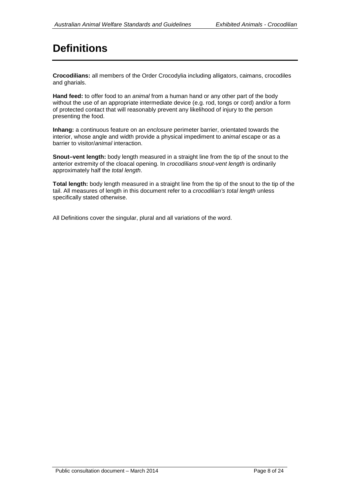# <span id="page-7-0"></span>**Definitions**

**Crocodilians:** all members of the Order Crocodylia including alligators, caimans, crocodiles and gharials.

**Hand feed:** to offer food to an *animal* from a human hand or any other part of the body without the use of an appropriate intermediate device (e.g. rod, tongs or cord) and/or a form of protected contact that will reasonably prevent any likelihood of injury to the person presenting the food.

**Inhang:** a continuous feature on an *enclosure* perimeter barrier, orientated towards the interior, whose angle and width provide a physical impediment to *animal* escape or as a barrier to visitor/*animal* interaction.

**Snout–vent length:** body length measured in a straight line from the tip of the snout to the anterior extremity of the cloacal opening. In *crocodilians snout-vent length* is ordinarily approximately half the *total length*.

**Total length:** body length measured in a straight line from the tip of the snout to the tip of the tail. All measures of length in this document refer to a *crocodilian's total length* unless specifically stated otherwise.

All Definitions cover the singular, plural and all variations of the word.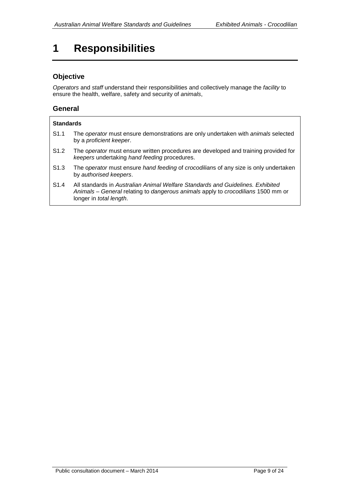# <span id="page-8-0"></span>**1 Responsibilities**

### **Objective**

*Operators* and *staff* understand their responsibilities and collectively manage the *facility* to ensure the health, welfare, safety and security of *animals*,

#### **General**

|                  | <b>Standards</b>                                                                                                                                                                                      |  |  |  |  |
|------------------|-------------------------------------------------------------------------------------------------------------------------------------------------------------------------------------------------------|--|--|--|--|
| S <sub>1.1</sub> | The operator must ensure demonstrations are only undertaken with animals selected<br>by a proficient keeper.                                                                                          |  |  |  |  |
| S <sub>1.2</sub> | The operator must ensure written procedures are developed and training provided for<br>keepers undertaking hand feeding procedures.                                                                   |  |  |  |  |
| S <sub>1.3</sub> | The operator must ensure hand feeding of crocodilians of any size is only undertaken<br>by authorised keepers.                                                                                        |  |  |  |  |
| S <sub>1.4</sub> | All standards in Australian Animal Welfare Standards and Guidelines. Exhibited<br>Animals – General relating to dangerous animals apply to crocodilians 1500 mm or<br>longer in <i>total length</i> . |  |  |  |  |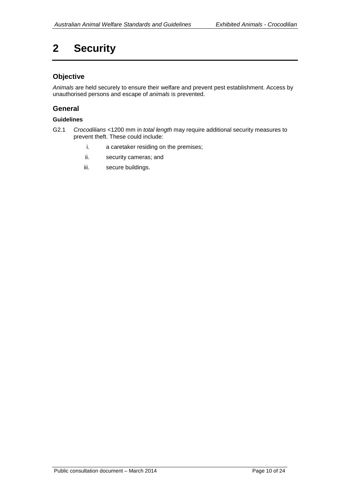# <span id="page-9-0"></span>**2 Security**

#### **Objective**

*Animals* are held securely to ensure their welfare and prevent pest establishment. Access by unauthorised persons and escape of *animals* is prevented.

#### **General**

- G2.1 *Crocodilians* <1200 mm in *total length* may require additional security measures to prevent theft. These could include:
	- i. a caretaker residing on the premises;
	- ii. security cameras; and
	- iii. secure buildings.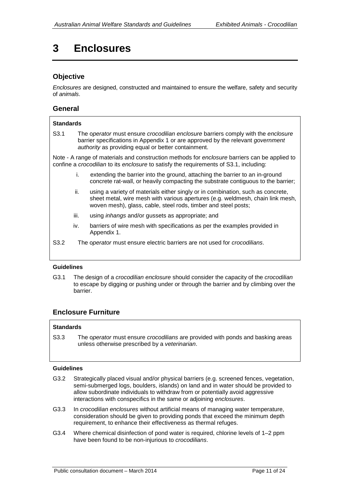# <span id="page-10-0"></span>**3 Enclosures**

#### **Objective**

*Enclosures* are designed, constructed and maintained to ensure the welfare, safety and security of *animals*.

#### **General**

#### **Standards**

S3.1 The o*perator* must ensure *crocodilian enclosure* barriers comply with the *enclosure* barrier specifications in Appendix 1 or are approved by the relevant *government authority* as providing equal or better containment.

Note - A range of materials and construction methods for *enclosure* barriers can be applied to confine a *crocodilian* to its *enclosure* to satisfy the requirements of S3.1, including:

- i. extending the barrier into the ground, attaching the barrier to an in-ground concrete rat-wall, or heavily compacting the substrate contiguous to the barrier;
- ii. using a variety of materials either singly or in combination, such as concrete, sheet metal, wire mesh with various apertures (e.g. weldmesh, chain link mesh, woven mesh), glass, cable, steel rods, timber and steel posts;
- iii. using *inhangs* and/or gussets as appropriate; and
- iv. barriers of wire mesh with specifications as per the examples provided in Appendix 1.
- S3.2 The o*perator* must ensure electric barriers are not used for *crocodilians*.

#### **Guidelines**

G3.1 The design of a *crocodilian enclosure* should consider the capacity of the *crocodilian* to escape by digging or pushing under or through the barrier and by climbing over the barrier.

#### **Enclosure Furniture**

#### **Standards**

S3.3 The o*perator* must ensure *crocodilians* are provided with ponds and basking areas unless otherwise prescribed by a *veterinarian*.

- G3.2 Strategically placed visual and/or physical barriers (e.g. screened fences, vegetation, semi-submerged logs, boulders, islands) on land and in water should be provided to allow subordinate individuals to withdraw from or potentially avoid aggressive interactions with conspecifics in the same or adjoining *enclosures*.
- G3.3 In *crocodilian enclosures* without artificial means of managing water temperature, consideration should be given to providing ponds that exceed the minimum depth requirement, to enhance their effectiveness as thermal refuges.
- G3.4 Where chemical disinfection of pond water is required, chlorine levels of 1–2 ppm have been found to be non-injurious to *crocodilians*.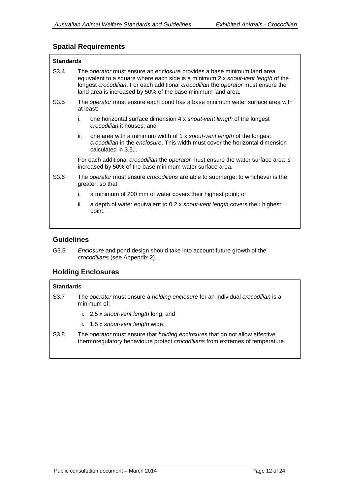### **Spatial Requirements**

| <b>Standards</b> |                                                                                                                                                                                                                                                                                                                  |                                                                                                                                                                               |  |  |  |
|------------------|------------------------------------------------------------------------------------------------------------------------------------------------------------------------------------------------------------------------------------------------------------------------------------------------------------------|-------------------------------------------------------------------------------------------------------------------------------------------------------------------------------|--|--|--|
| S <sub>3.4</sub> | The operator must ensure an enclosure provides a base minimum land area<br>equivalent to a square where each side is a minimum 2 x snout-vent length of the<br>longest crocodilian. For each additional crocodilian the operator must ensure the<br>land area is increased by 50% of the base minimum land area. |                                                                                                                                                                               |  |  |  |
| S <sub>3.5</sub> | The operator must ensure each pond has a base minimum water surface area with<br>at least:                                                                                                                                                                                                                       |                                                                                                                                                                               |  |  |  |
|                  | İ.                                                                                                                                                                                                                                                                                                               | one horizontal surface dimension 4 x snout-vent length of the longest<br><i>crocodilian</i> it houses; and                                                                    |  |  |  |
|                  | ii.                                                                                                                                                                                                                                                                                                              | one area with a minimum width of 1 x snout-vent length of the longest<br>crocodilian in the enclosure. This width must cover the horizontal dimension<br>calculated in 3.5.i. |  |  |  |
|                  |                                                                                                                                                                                                                                                                                                                  | For each additional <i>crocodilian</i> the <i>operator</i> must ensure the water surface area is<br>increased by 50% of the base minimum water surface area.                  |  |  |  |
| S <sub>3.6</sub> | The <i>operator</i> must ensure <i>crocodilians</i> are able to submerge, to whichever is the<br>greater, so that:                                                                                                                                                                                               |                                                                                                                                                                               |  |  |  |
|                  | i.                                                                                                                                                                                                                                                                                                               | a minimum of 200 mm of water covers their highest point; or                                                                                                                   |  |  |  |
|                  | ii.                                                                                                                                                                                                                                                                                                              | a depth of water equivalent to 0.2 x snout-vent length covers their highest<br>point.                                                                                         |  |  |  |
|                  |                                                                                                                                                                                                                                                                                                                  |                                                                                                                                                                               |  |  |  |

#### **Guidelines**

G3.5 *Enclosure* and pond design should take into account future growth of the *crocodilians* (see Appendix 2).

### **Holding Enclosures**

#### **Standards**

- S3.7 The *operator* must ensure a *holding enclosure* for an individual *crocodilian* is a minimum of:
	- i. 2.5 x *snout-vent length* long; and
	- ii. 1.5 x *snout-vent length* wide.
- S3.8 The *operator* must ensure that *holding enclosures* that do not allow effective thermoregulatory behaviours protect *crocodilians* from extremes of temperature.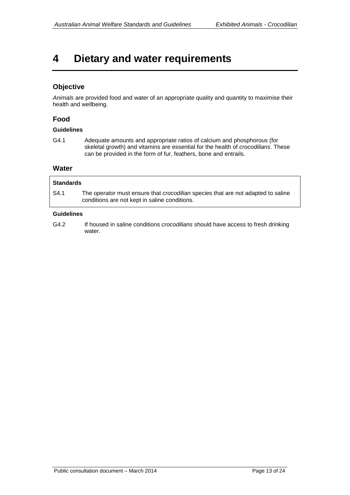### <span id="page-12-0"></span>**4 Dietary and water requirements**

### **Objective**

*Animals* are provided food and water of an appropriate quality and quantity to maximise their health and wellbeing.

### **Food**

#### **Guidelines**

G4.1 Adequate amounts and appropriate ratios of calcium and phosphorous (for skeletal growth) and vitamins are essential for the health of *crocodilians*. These can be provided in the form of fur, feathers, bone and entrails.

#### **Water**

| <b>Standards</b> |                                                                                                                                   |  |  |  |
|------------------|-----------------------------------------------------------------------------------------------------------------------------------|--|--|--|
| S4.1             | The operator must ensure that crocodilian species that are not adapted to saline<br>conditions are not kept in saline conditions. |  |  |  |

#### **Guidelines**

G4.2 If housed in saline conditions *crocodilians* should have access to fresh drinking water.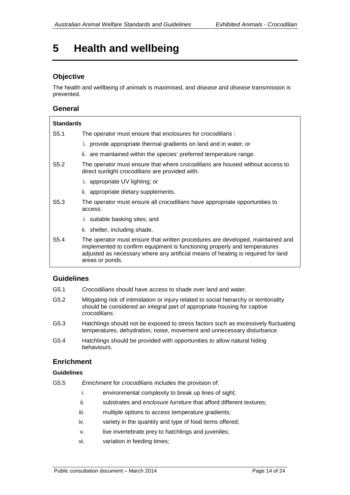### <span id="page-13-0"></span>**5 Health and wellbeing**

### **Objective**

The health and wellbeing of *animals* is maximised, and *disease* and *disease* transmission is prevented.

#### **General**

| <b>Standards</b> |                                                                                                                                                                                                                                                                           |  |  |  |  |
|------------------|---------------------------------------------------------------------------------------------------------------------------------------------------------------------------------------------------------------------------------------------------------------------------|--|--|--|--|
| S5.1             | The operator must ensure that enclosures for crocodilians:                                                                                                                                                                                                                |  |  |  |  |
|                  | i. provide appropriate thermal gradients on land and in water; or                                                                                                                                                                                                         |  |  |  |  |
|                  | ii. are maintained within the species' preferred temperature range.                                                                                                                                                                                                       |  |  |  |  |
| S <sub>5.2</sub> | The <i>operator</i> must ensure that where <i>crocodilians</i> are housed without access to<br>direct sunlight <i>crocodilians</i> are provided with:                                                                                                                     |  |  |  |  |
|                  | i. appropriate UV lighting; or                                                                                                                                                                                                                                            |  |  |  |  |
|                  | ii. appropriate dietary supplements.                                                                                                                                                                                                                                      |  |  |  |  |
| S <sub>5.3</sub> | The <i>operator</i> must ensure all <i>crocodilians</i> have appropriate opportunities to<br>access:                                                                                                                                                                      |  |  |  |  |
|                  | i. suitable basking sites; and                                                                                                                                                                                                                                            |  |  |  |  |
|                  | ii. shelter, including shade.                                                                                                                                                                                                                                             |  |  |  |  |
| S <sub>5.4</sub> | The <i>operator</i> must ensure that written procedures are developed, maintained and<br>implemented to confirm equipment is functioning properly and temperatures<br>adjusted as necessary where any artificial means of heating is required for land<br>areas or ponds. |  |  |  |  |

#### **Guidelines**

- G5.1 *Crocodilians* should have access to shade over land and water.
- G5.2 Mitigating risk of intimidation or injury related to social hierarchy or territoriality should be considered an integral part of appropriate housing for captive *crocodilians*.
- G5.3 Hatchlings should not be exposed to stress factors such as excessively fluctuating temperatures, dehydration, noise, movement and unnecessary disturbance.
- G5.4 Hatchlings should be provided with opportunities to allow natural hiding behaviours.

#### **Enrichment**

- G5.5 *Enrichment* for *crocodilian*s includes the provision of:
	- i. environmental complexity to break up lines of sight;
	- ii. substrates and *enclosure furniture* that afford different textures;
	- iii. multiple options to access temperature gradients;
	- iv. variety in the quantity and type of food items offered;
	- v. live invertebrate prey to hatchlings and juveniles;
	- vi. variation in feeding times;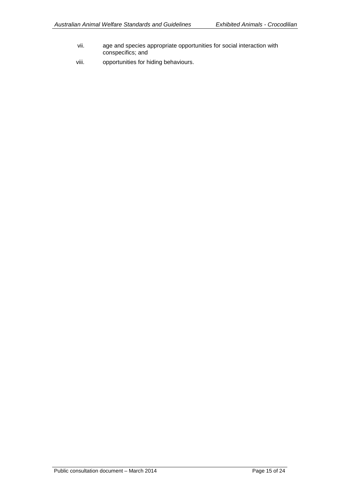- vii. age and species appropriate opportunities for social interaction with conspecifics; and
- viii. opportunities for hiding behaviours.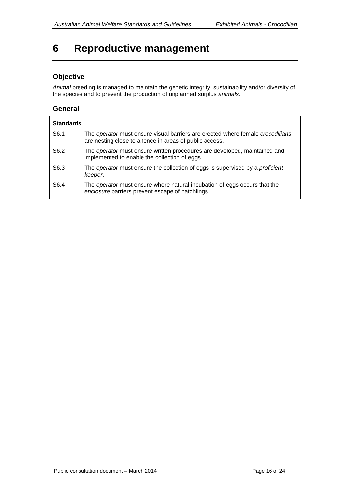# <span id="page-15-0"></span>**6 Reproductive management**

### **Objective**

*Animal* breeding is managed to maintain the genetic integrity, sustainability and/or diversity of the species and to prevent the production of unplanned surplus *animals*.

#### **General**

| <b>Standards</b> |                                                                                                                                           |
|------------------|-------------------------------------------------------------------------------------------------------------------------------------------|
| S <sub>6.1</sub> | The operator must ensure visual barriers are erected where female crocodilians<br>are nesting close to a fence in areas of public access. |
| S6.2             | The operator must ensure written procedures are developed, maintained and<br>implemented to enable the collection of eggs.                |
| S <sub>6.3</sub> | The <i>operator</i> must ensure the collection of eggs is supervised by a <i>proficient</i><br>keeper.                                    |
| S <sub>6.4</sub> | The <i>operator</i> must ensure where natural incubation of eggs occurs that the<br>enclosure barriers prevent escape of hatchlings.      |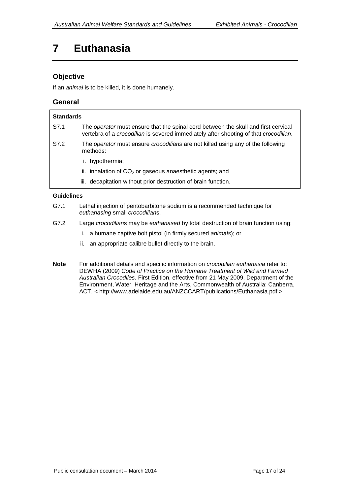# <span id="page-16-0"></span>**7 Euthanasia**

### **Objective**

If an *animal* is to be killed, it is done humanely.

#### **General**

| <b>Standards</b> |                                                                                                                                                                            |
|------------------|----------------------------------------------------------------------------------------------------------------------------------------------------------------------------|
| S7.1             | The operator must ensure that the spinal cord between the skull and first cervical<br>vertebra of a crocodilian is severed immediately after shooting of that crocodilian. |
| S7.2             | The <i>operator</i> must ensure <i>crocodilians</i> are not killed using any of the following<br>methods:                                                                  |
|                  | hypothermia;                                                                                                                                                               |
|                  | ii. inhalation of $CO2$ or gaseous anaesthetic agents; and                                                                                                                 |
|                  | iii. decapitation without prior destruction of brain function.                                                                                                             |
|                  |                                                                                                                                                                            |

- G7.1 Lethal injection of pentobarbitone sodium is a recommended technique for *euthanasing* small *crocodilian*s.
- G7.2 Large *crocodilian*s may be *euthanased* by total destruction of brain function using:
	- i. a humane captive bolt pistol (in firmly secured *animals*); or
	- ii. an appropriate calibre bullet directly to the brain.
- **Note** For additional details and specific information on *crocodilian euthanasia* refer to: DEWHA (2009) *Code of Practice on the Humane Treatment of Wild and Farmed Australian Crocodiles*. First Edition, effective from 21 May 2009. Department of the Environment, Water, Heritage and the Arts, Commonwealth of Australia: Canberra, ACT. < http://www.adelaide.edu.au/ANZCCART/publications/Euthanasia.pdf >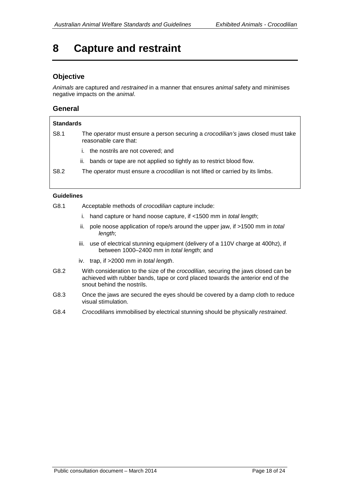# <span id="page-17-0"></span>**8 Capture and restraint**

### **Objective**

*Animals* are captured and *restrained* in a manner that ensures *animal* safety and minimises negative impacts on the *animal*.

#### **General**

| <b>Standards</b> |                                                                                                           |  |  |
|------------------|-----------------------------------------------------------------------------------------------------------|--|--|
| S8.1             | The operator must ensure a person securing a crocodilian's jaws closed must take<br>reasonable care that: |  |  |
|                  | the nostrils are not covered; and<br>$\mathbf{L}$                                                         |  |  |
|                  | bands or tape are not applied so tightly as to restrict blood flow.<br>н.                                 |  |  |
| S <sub>8.2</sub> | The <i>operator</i> must ensure a <i>crocodilian</i> is not lifted or carried by its limbs.               |  |  |

- G8.1 Acceptable methods of *crocodilian* capture include:
	- i. hand capture or hand noose capture, if <1500 mm in *total length*;
	- ii. pole noose application of rope/s around the upper jaw, if >1500 mm in *total length*;
	- iii. use of electrical stunning equipment (delivery of a 110V charge at 400hz), if between 1000–2400 mm in *total length*; and
	- iv. trap, if >2000 mm in *total length*.
- G8.2 With consideration to the size of the *crocodilian*, securing the jaws closed can be achieved with rubber bands, tape or cord placed towards the anterior end of the snout behind the nostrils.
- G8.3 Once the jaws are secured the eyes should be covered by a damp cloth to reduce visual stimulation.
- G8.4 *Crocodilian*s immobilised by electrical stunning should be physically *restrained*.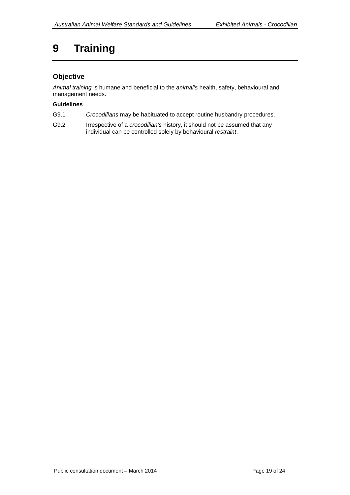# <span id="page-18-0"></span>**9 Training**

### **Objective**

*Animal training* is humane and beneficial to the *animal's* health, safety, behavioural and management needs.

- G9.1 *Crocodilians* may be habituated to accept routine husbandry procedures.
- G9.2 Irrespective of a *crocodilian's* history, it should not be assumed that any individual can be controlled solely by behavioural *restraint*.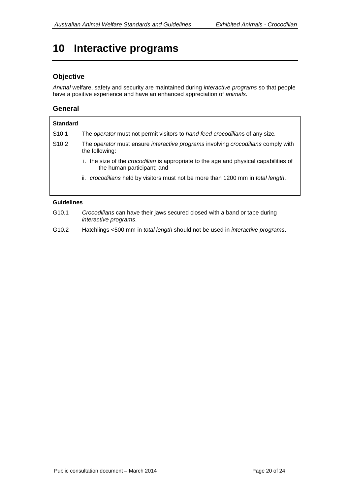# <span id="page-19-0"></span>**10 Interactive programs**

### **Objective**

*Animal* welfare, safety and security are maintained during *interactive programs* so that people have a positive experience and have an enhanced appreciation of *animals*.

#### **General**

| <b>Standard</b>   |                                                                                                                            |  |  |  |  |  |
|-------------------|----------------------------------------------------------------------------------------------------------------------------|--|--|--|--|--|
| S <sub>10.1</sub> | The <i>operator</i> must not permit visitors to <i>hand feed crocodilians</i> of any size.                                 |  |  |  |  |  |
| S <sub>10.2</sub> | The operator must ensure interactive programs involving crocodilians comply with<br>the following:                         |  |  |  |  |  |
|                   | i. the size of the <i>crocodilian</i> is appropriate to the age and physical capabilities of<br>the human participant; and |  |  |  |  |  |
|                   | ii. crocodilians held by visitors must not be more than 1200 mm in total length.                                           |  |  |  |  |  |

- G10.1 *Crocodilians* can have their jaws secured closed with a band or tape during *interactive programs*.
- G10.2 Hatchlings <500 mm in *total length* should not be used in *interactive programs*.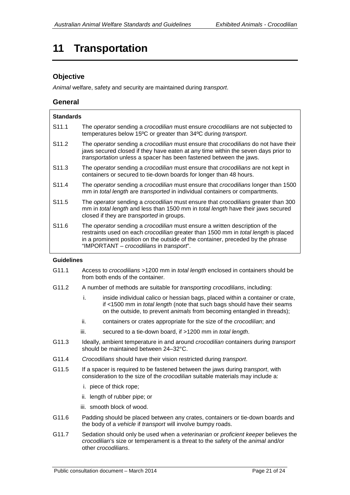# <span id="page-20-0"></span>**11 Transportation**

### **Objective**

*Animal* welfare, safety and security are maintained during *transport*.

#### **General**

| <b>Standards</b>  |                                                                                                                                                                                                                                                                                                                              |  |  |  |
|-------------------|------------------------------------------------------------------------------------------------------------------------------------------------------------------------------------------------------------------------------------------------------------------------------------------------------------------------------|--|--|--|
| S <sub>11.1</sub> | The operator sending a crocodilian must ensure crocodilians are not subjected to<br>temperatures below 15°C or greater than 34°C during transport.                                                                                                                                                                           |  |  |  |
| S <sub>11.2</sub> | The <i>operator</i> sending a <i>crocodilian</i> must ensure that <i>crocodilians</i> do not have their<br>jaws secured closed if they have eaten at any time within the seven days prior to<br>transportation unless a spacer has been fastened between the jaws.                                                           |  |  |  |
| S <sub>11.3</sub> | The operator sending a crocodilian must ensure that crocodilians are not kept in<br>containers or secured to tie-down boards for longer than 48 hours.                                                                                                                                                                       |  |  |  |
| S <sub>11.4</sub> | The operator sending a crocodilian must ensure that crocodilians longer than 1500<br>mm in total length are transported in individual containers or compartments.                                                                                                                                                            |  |  |  |
| S <sub>11.5</sub> | The operator sending a crocodilian must ensure that crocodilians greater than 300<br>mm in total length and less than 1500 mm in total length have their jaws secured<br>closed if they are <i>transported</i> in groups.                                                                                                    |  |  |  |
| S <sub>11.6</sub> | The <i>operator</i> sending a <i>crocodilian</i> must ensure a written description of the<br>restraints used on each <i>crocodilian</i> greater than 1500 mm in <i>total length</i> is placed<br>in a prominent position on the outside of the container, preceded by the phrase<br>"IMPORTANT – crocodilians in transport". |  |  |  |

- G11.1 Access to *crocodilians* >1200 mm in *total length* enclosed in containers should be from both ends of the container.
- G11.2 A number of methods are suitable for *transporting crocodilians*, including:
	- i. inside individual calico or hessian bags, placed within a container or crate, if <1500 mm in *total length* (note that such bags should have their seams on the outside, to prevent *animals* from becoming entangled in threads);
	- ii. containers or crates appropriate for the size of the *crocodilian*; and
	- iii. secured to a tie-down board, if >1200 mm in *total length*.
- G11.3 Ideally, ambient temperature in and around *crocodilian* containers during *transport* should be maintained between 24–32°C.
- G11.4 *Crocodilians* should have their vision restricted during *transport*.
- G11.5 If a spacer is required to be fastened between the jaws during *transport*, with consideration to the size of the *crocodilian* suitable materials may include a:
	- i. piece of thick rope;
	- ii. length of rubber pipe; or
	- iii. smooth block of wood.
- G11.6 Padding should be placed between any crates, containers or tie-down boards and the body of a *vehicle* if *transport* will involve bumpy roads.
- G11.7 Sedation should only be used when a *veterinarian* or *proficient keeper* believes the *crocodilian*'s size or temperament is a threat to the safety of the *animal* and/or other *crocodilians*.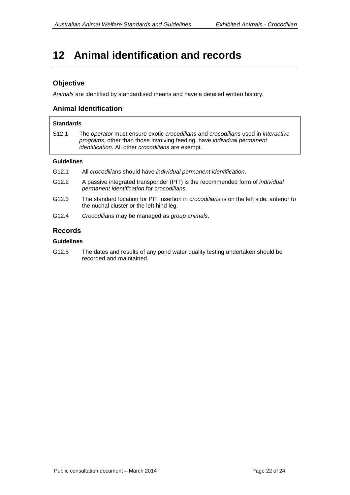# <span id="page-21-0"></span>**12 Animal identification and records**

#### **Objective**

*Animals* are identified by standardised means and have a detailed written history.

#### **Animal Identification**

### **Standards** S12.1 The *operator* must ensure exotic *crocodilians* and *crocodilians* used in *interactive programs*, other than those involving feeding, have *individual permanent identification*. All other *crocodilians* are exempt.

#### **Guidelines**

- G12.1 All *crocodilians* should have *individual permanent identification*.
- G12.2 A passive integrated transponder (PIT) is the recommended form of *individual permanent identification* for *crocodilians*.
- G12.3 The standard location for PIT insertion in *crocodilians* is on the left side, anterior to the nuchal cluster or the left hind leg.
- G12.4 *Crocodilians* may be managed as *group animals*.

#### **Records**

#### **Guidelines**

G12.5 The dates and results of any pond water quality testing undertaken should be recorded and maintained.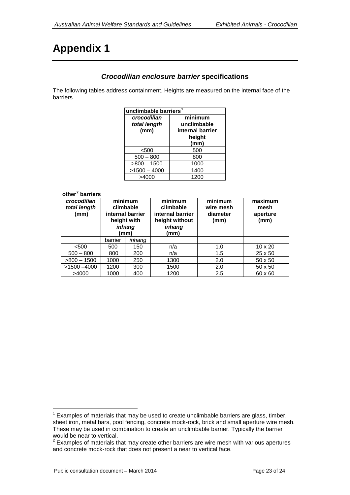# <span id="page-22-0"></span>**Appendix 1**

### *Crocodilian enclosure barrier* **specifications**

The following tables address containment. Heights are measured on the internal face of the barriers.

| unclimbable barriers <sup>1</sup> |                  |  |  |
|-----------------------------------|------------------|--|--|
| crocodilian                       | minimum          |  |  |
| total length                      | unclimbable      |  |  |
| (mm)                              | internal barrier |  |  |
|                                   | height           |  |  |
|                                   | (mm)             |  |  |
| < 500                             | 500              |  |  |
| $500 - 800$                       | 800              |  |  |
| $>800 - 1500$                     | 1000             |  |  |
| $>1500 - 4000$                    | 1400             |  |  |
| >4000                             | 1200             |  |  |

| other <sup>2</sup> barriers         |                                                                           |        |                                                                              |                                          |                                     |
|-------------------------------------|---------------------------------------------------------------------------|--------|------------------------------------------------------------------------------|------------------------------------------|-------------------------------------|
| crocodilian<br>total length<br>(mm) | minimum<br>climbable<br>internal barrier<br>height with<br>inhang<br>(mm) |        | minimum<br>climbable<br>internal barrier<br>height without<br>inhang<br>(mm) | minimum<br>wire mesh<br>diameter<br>(mm) | maximum<br>mesh<br>aperture<br>(mm) |
|                                     | barrier                                                                   | inhang |                                                                              |                                          |                                     |
| < 500                               | 500                                                                       | 150    | n/a                                                                          | 1.0                                      | $10 \times 20$                      |
| $500 - 800$                         | 800                                                                       | 200    | n/a                                                                          | 1.5                                      | $25 \times 50$                      |
| $>800 - 1500$                       | 1000                                                                      | 250    | 1300                                                                         | 2.0                                      | $50 \times 50$                      |
| $>1500 - 4000$                      | 1200                                                                      | 300    | 1500                                                                         | 2.0                                      | $50 \times 50$                      |
| >4000                               | 1000                                                                      | 400    | 1200                                                                         | 2.5                                      | 60 x 60                             |

<span id="page-22-1"></span> $1$  Examples of materials that may be used to create unclimbable barriers are glass, timber, sheet iron, metal bars, pool fencing, concrete mock-rock, brick and small aperture wire mesh. These may be used in combination to create an unclimbable barrier. Typically the barrier would be near to vertical.

<span id="page-22-2"></span><sup>2</sup> Examples of materials that may create other barriers are wire mesh with various apertures and concrete mock-rock that does not present a near to vertical face.